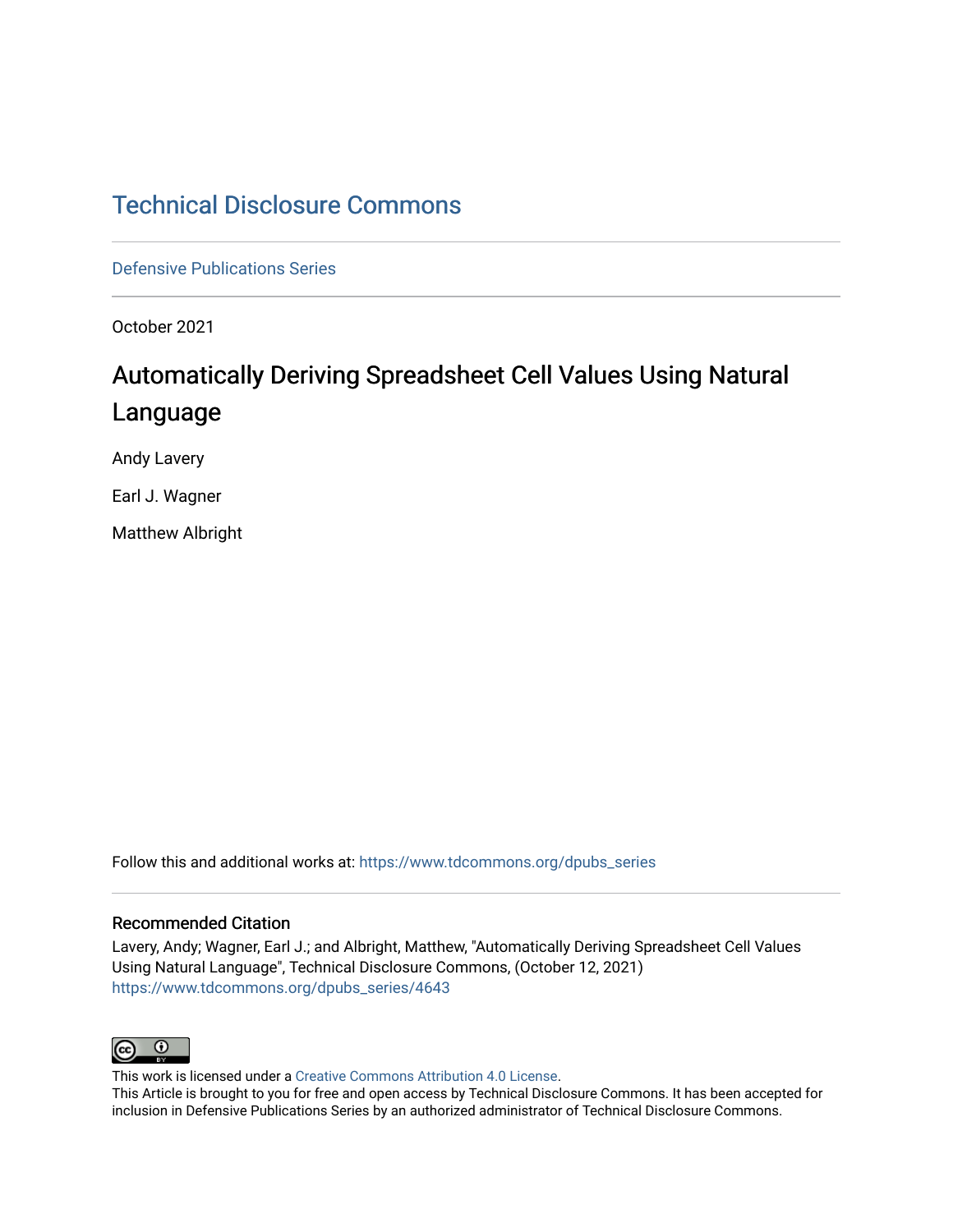# [Technical Disclosure Commons](https://www.tdcommons.org/)

[Defensive Publications Series](https://www.tdcommons.org/dpubs_series)

October 2021

# Automatically Deriving Spreadsheet Cell Values Using Natural Language

Andy Lavery

Earl J. Wagner

Matthew Albright

Follow this and additional works at: [https://www.tdcommons.org/dpubs\\_series](https://www.tdcommons.org/dpubs_series?utm_source=www.tdcommons.org%2Fdpubs_series%2F4643&utm_medium=PDF&utm_campaign=PDFCoverPages) 

#### Recommended Citation

Lavery, Andy; Wagner, Earl J.; and Albright, Matthew, "Automatically Deriving Spreadsheet Cell Values Using Natural Language", Technical Disclosure Commons, (October 12, 2021) [https://www.tdcommons.org/dpubs\\_series/4643](https://www.tdcommons.org/dpubs_series/4643?utm_source=www.tdcommons.org%2Fdpubs_series%2F4643&utm_medium=PDF&utm_campaign=PDFCoverPages)



This work is licensed under a [Creative Commons Attribution 4.0 License](http://creativecommons.org/licenses/by/4.0/deed.en_US).

This Article is brought to you for free and open access by Technical Disclosure Commons. It has been accepted for inclusion in Defensive Publications Series by an authorized administrator of Technical Disclosure Commons.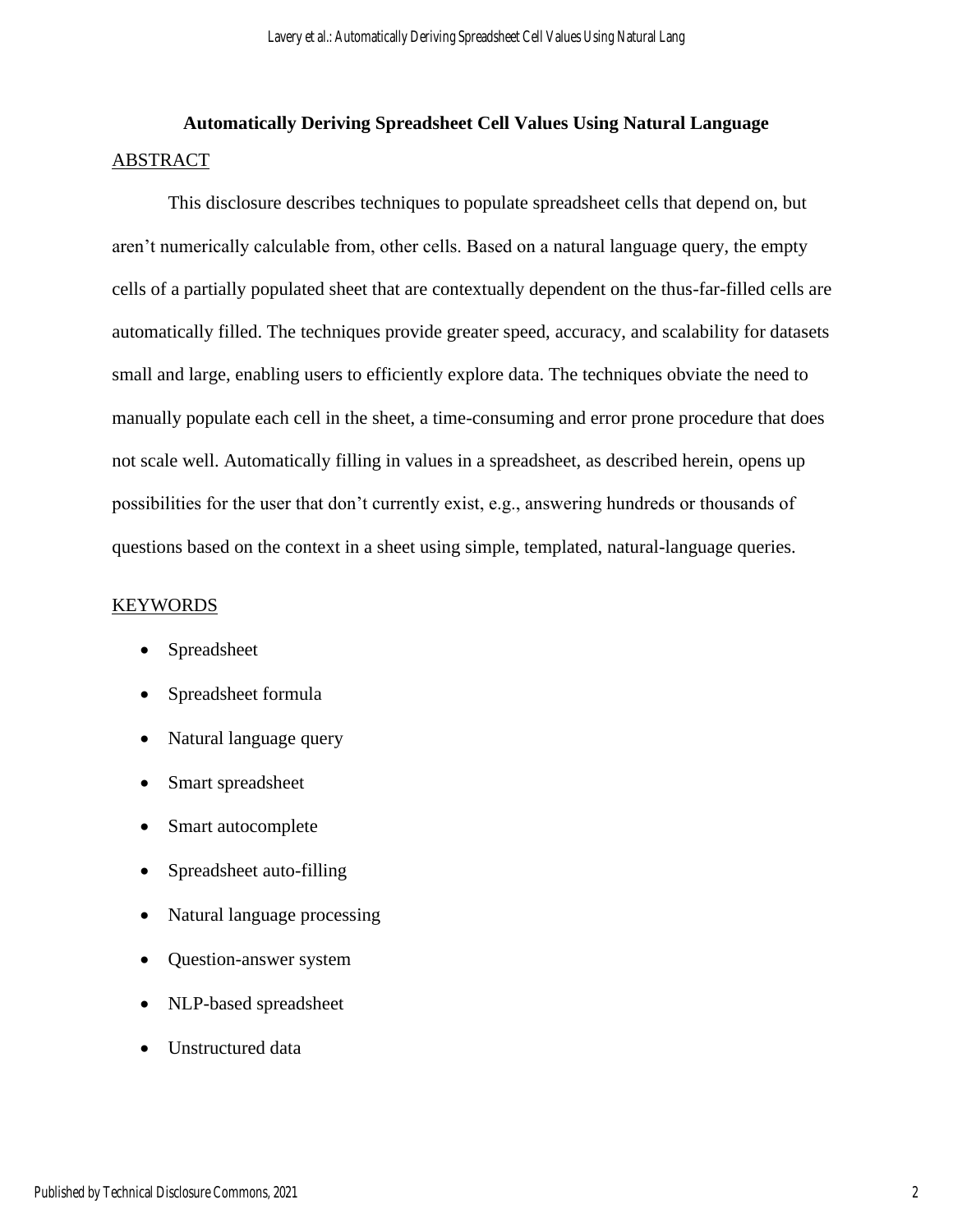# **Automatically Deriving Spreadsheet Cell Values Using Natural Language** ABSTRACT

This disclosure describes techniques to populate spreadsheet cells that depend on, but aren't numerically calculable from, other cells. Based on a natural language query, the empty cells of a partially populated sheet that are contextually dependent on the thus-far-filled cells are automatically filled. The techniques provide greater speed, accuracy, and scalability for datasets small and large, enabling users to efficiently explore data. The techniques obviate the need to manually populate each cell in the sheet, a time-consuming and error prone procedure that does not scale well. Automatically filling in values in a spreadsheet, as described herein, opens up possibilities for the user that don't currently exist, e.g., answering hundreds or thousands of questions based on the context in a sheet using simple, templated, natural-language queries.

#### **KEYWORDS**

- Spreadsheet
- Spreadsheet formula
- Natural language query
- Smart spreadsheet
- Smart autocomplete
- Spreadsheet auto-filling
- Natural language processing
- Question-answer system
- NLP-based spreadsheet
- Unstructured data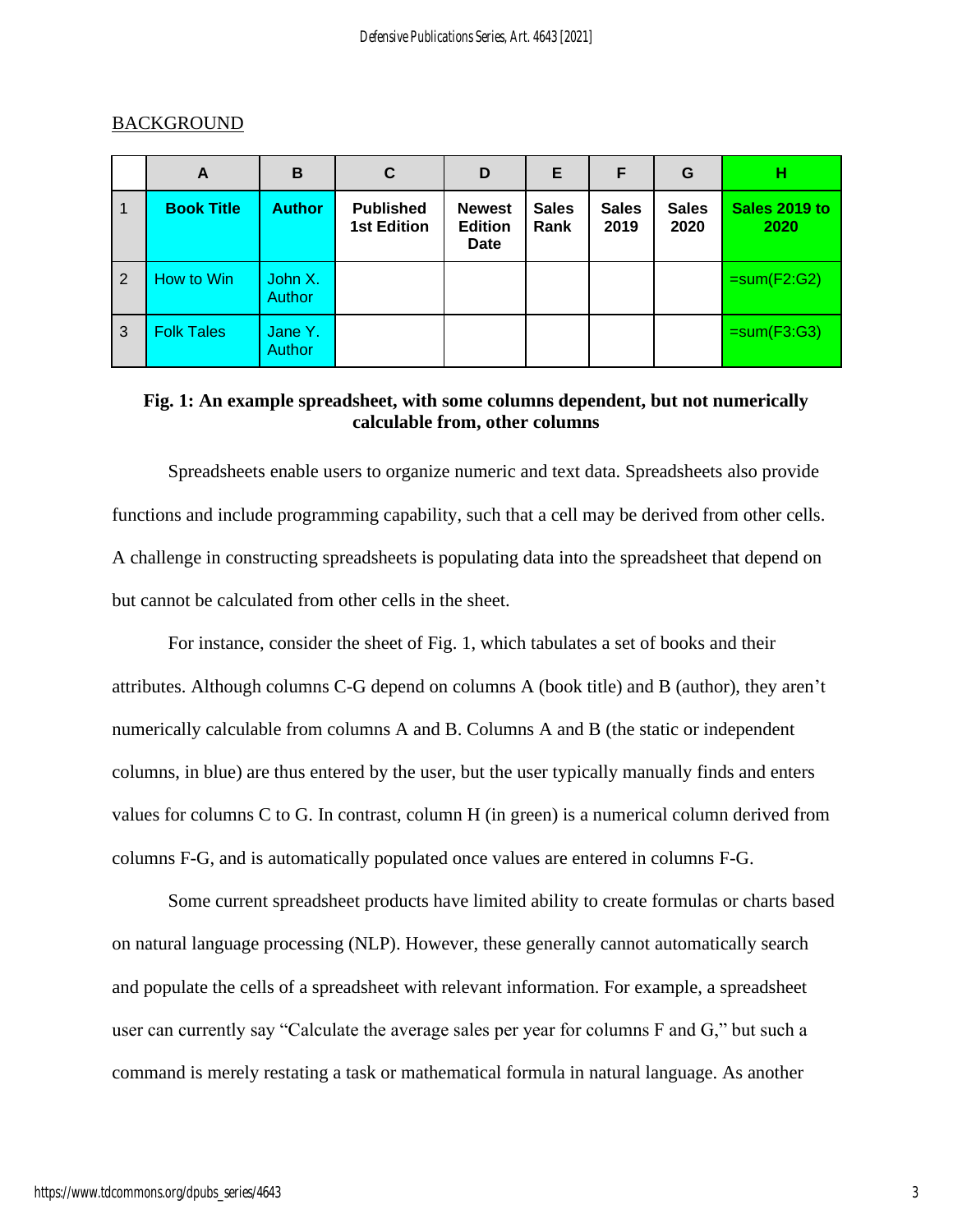|                | A                 | B                        | C                                      | D                                              | E.                   | F                    | G                    | н                     |
|----------------|-------------------|--------------------------|----------------------------------------|------------------------------------------------|----------------------|----------------------|----------------------|-----------------------|
|                | <b>Book Title</b> | <b>Author</b>            | <b>Published</b><br><b>1st Edition</b> | <b>Newest</b><br><b>Edition</b><br><b>Date</b> | <b>Sales</b><br>Rank | <b>Sales</b><br>2019 | <b>Sales</b><br>2020 | Sales 2019 to<br>2020 |
| $\overline{2}$ | How to Win        | John X.<br><b>Author</b> |                                        |                                                |                      |                      |                      | $=sum(F2:G2)$         |
| 3              | <b>Folk Tales</b> | Jane Y.<br>Author        |                                        |                                                |                      |                      |                      | $= sum(F3:G3)$        |

## **BACKGROUND**

# **Fig. 1: An example spreadsheet, with some columns dependent, but not numerically calculable from, other columns**

Spreadsheets enable users to organize numeric and text data. Spreadsheets also provide functions and include programming capability, such that a cell may be derived from other cells. A challenge in constructing spreadsheets is populating data into the spreadsheet that depend on but cannot be calculated from other cells in the sheet.

For instance, consider the sheet of Fig. 1, which tabulates a set of books and their attributes. Although columns C-G depend on columns A (book title) and B (author), they aren't numerically calculable from columns A and B. Columns A and B (the static or independent columns, in blue) are thus entered by the user, but the user typically manually finds and enters values for columns C to G. In contrast, column H (in green) is a numerical column derived from columns F-G, and is automatically populated once values are entered in columns F-G.

Some current spreadsheet products have limited ability to create formulas or charts based on natural language processing (NLP). However, these generally cannot automatically search and populate the cells of a spreadsheet with relevant information. For example, a spreadsheet user can currently say "Calculate the average sales per year for columns F and G," but such a command is merely restating a task or mathematical formula in natural language. As another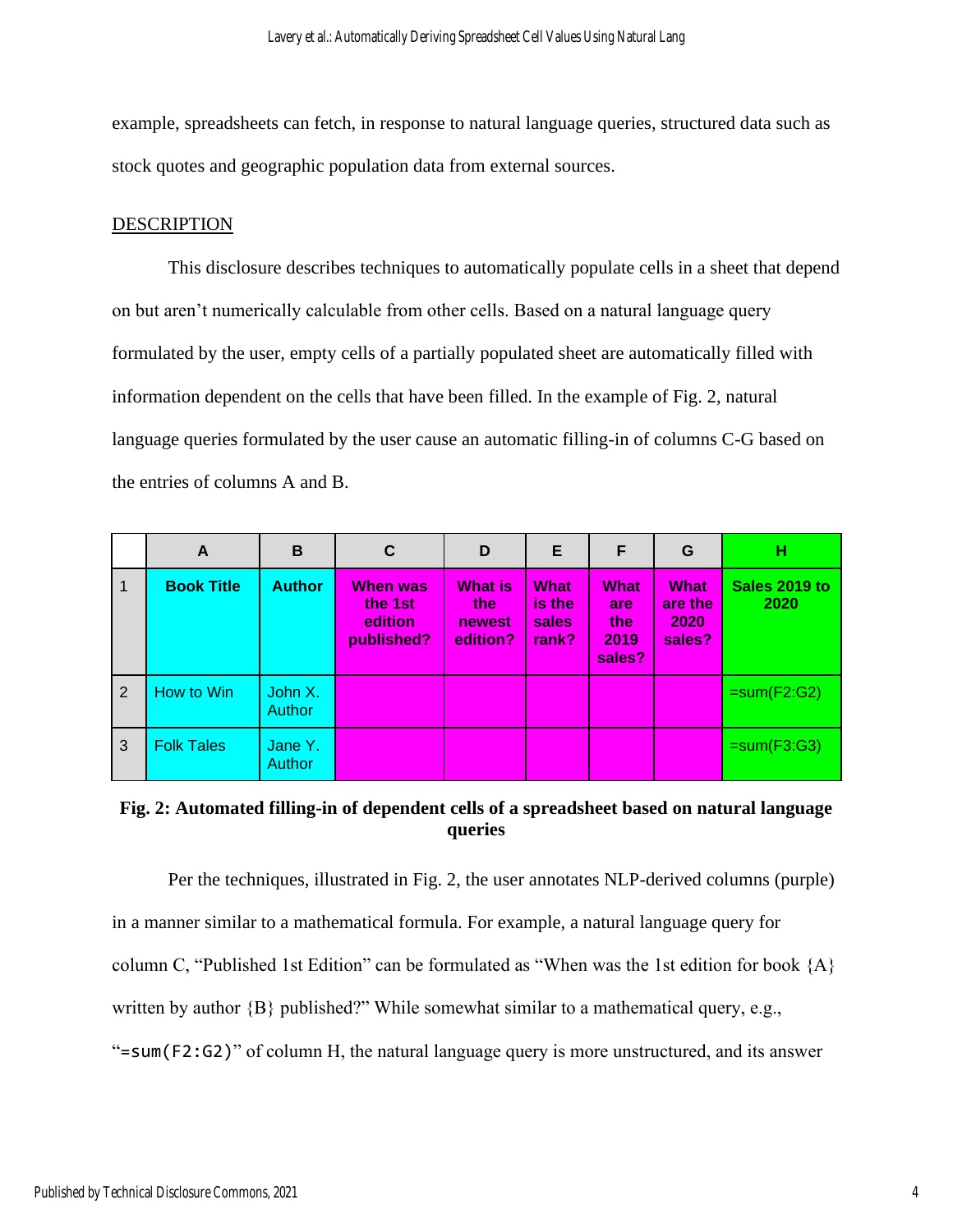example, spreadsheets can fetch, in response to natural language queries, structured data such as stock quotes and geographic population data from external sources.

## DESCRIPTION

This disclosure describes techniques to automatically populate cells in a sheet that depend on but aren't numerically calculable from other cells. Based on a natural language query formulated by the user, empty cells of a partially populated sheet are automatically filled with information dependent on the cells that have been filled. In the example of Fig. 2, natural language queries formulated by the user cause an automatic filling-in of columns C-G based on the entries of columns A and B.

|                | A                 | B                        | C                                                   | D                                           | E                                       | F                                           | G                                        | н                     |
|----------------|-------------------|--------------------------|-----------------------------------------------------|---------------------------------------------|-----------------------------------------|---------------------------------------------|------------------------------------------|-----------------------|
| $\overline{1}$ | <b>Book Title</b> | <b>Author</b>            | <b>When was</b><br>the 1st<br>edition<br>published? | <b>What is</b><br>the<br>newest<br>edition? | <b>What</b><br>is the<br>sales<br>rank? | <b>What</b><br>are<br>the<br>2019<br>sales? | <b>What</b><br>are the<br>2020<br>sales? | Sales 2019 to<br>2020 |
| $\overline{2}$ | How to Win        | John X.<br><b>Author</b> |                                                     |                                             |                                         |                                             |                                          | $=sum(F2:G2)$         |
| $\overline{3}$ | <b>Folk Tales</b> | Jane Y.<br>Author        |                                                     |                                             |                                         |                                             |                                          | $=sum(F3:G3)$         |

# **Fig. 2: Automated filling-in of dependent cells of a spreadsheet based on natural language queries**

Per the techniques, illustrated in Fig. 2, the user annotates NLP-derived columns (purple) in a manner similar to a mathematical formula. For example, a natural language query for column C, "Published 1st Edition" can be formulated as "When was the 1st edition for book  ${A}$ written by author  ${B}$  published?" While somewhat similar to a mathematical query, e.g., "=sum(F2:G2)" of column H, the natural language query is more unstructured, and its answer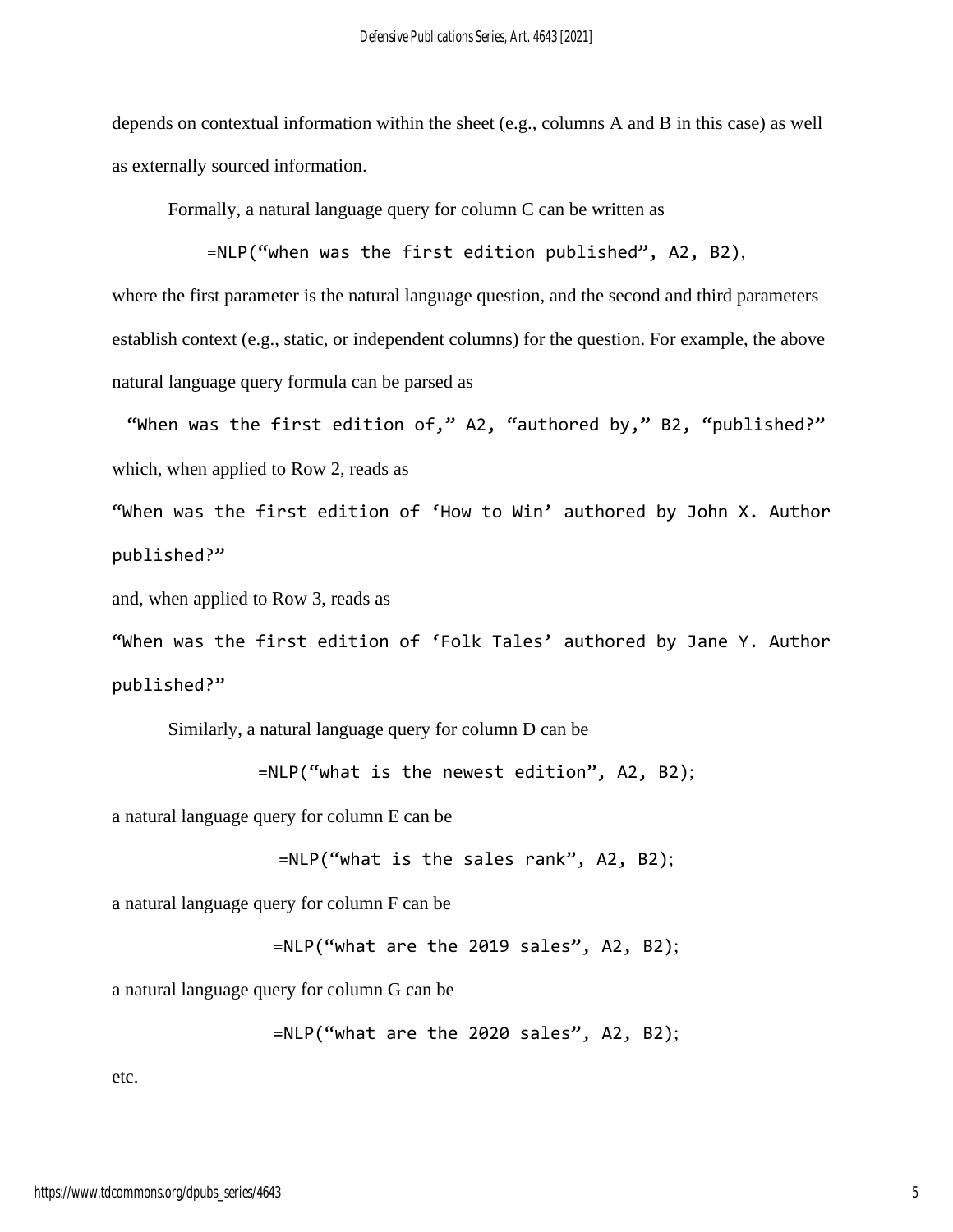depends on contextual information within the sheet (e.g., columns A and B in this case) as well as externally sourced information.

Formally, a natural language query for column C can be written as

=NLP("when was the first edition published", A2, B2),

where the first parameter is the natural language question, and the second and third parameters establish context (e.g., static, or independent columns) for the question. For example, the above natural language query formula can be parsed as

"When was the first edition of," A2, "authored by," B2, "published?" which, when applied to Row 2, reads as

"When was the first edition of 'How to Win' authored by John X. Author published?"

and, when applied to Row 3, reads as

"When was the first edition of 'Folk Tales' authored by Jane Y. Author published?"

Similarly, a natural language query for column D can be

```
=NLP("what is the newest edition", A2, B2);
```
a natural language query for column E can be

```
=NLP("what is the sales rank", A2, B2);
```
a natural language query for column F can be

```
=NLP("what are the 2019 sales", A2, B2);
```
a natural language query for column G can be

```
=NLP("what are the 2020 sales", A2, B2);
```
etc.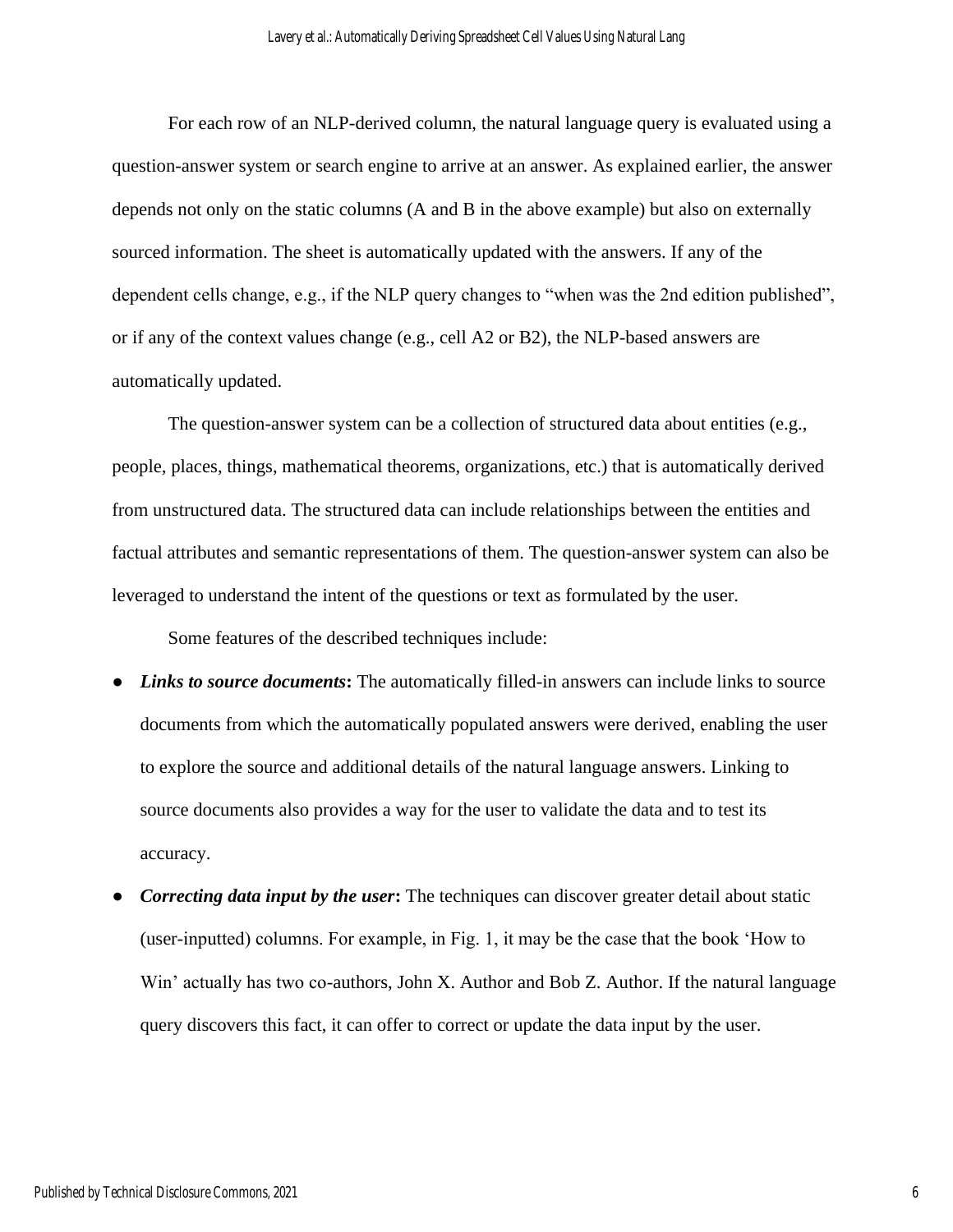For each row of an NLP-derived column, the natural language query is evaluated using a question-answer system or search engine to arrive at an answer. As explained earlier, the answer depends not only on the static columns (A and B in the above example) but also on externally sourced information. The sheet is automatically updated with the answers. If any of the dependent cells change, e.g., if the NLP query changes to "when was the 2nd edition published", or if any of the context values change (e.g., cell A2 or B2), the NLP-based answers are automatically updated.

The question-answer system can be a collection of structured data about entities (e.g., people, places, things, mathematical theorems, organizations, etc.) that is automatically derived from unstructured data. The structured data can include relationships between the entities and factual attributes and semantic representations of them. The question-answer system can also be leveraged to understand the intent of the questions or text as formulated by the user.

Some features of the described techniques include:

- *Links to source documents*: The automatically filled-in answers can include links to source documents from which the automatically populated answers were derived, enabling the user to explore the source and additional details of the natural language answers. Linking to source documents also provides a way for the user to validate the data and to test its accuracy.
- *Correcting data input by the user*: The techniques can discover greater detail about static (user-inputted) columns. For example, in Fig. 1, it may be the case that the book 'How to Win' actually has two co-authors, John X. Author and Bob Z. Author. If the natural language query discovers this fact, it can offer to correct or update the data input by the user.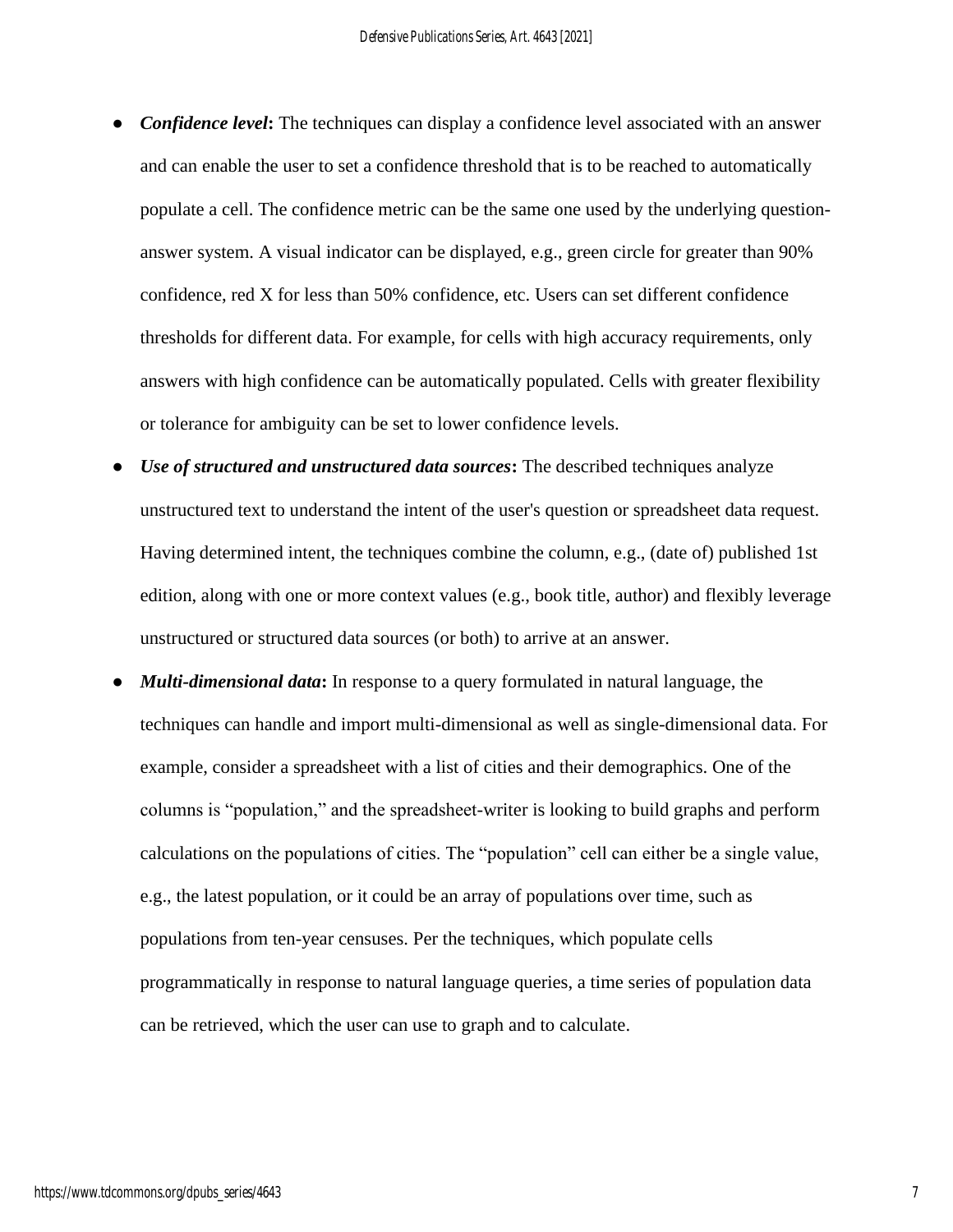- *Confidence level*: The techniques can display a confidence level associated with an answer and can enable the user to set a confidence threshold that is to be reached to automatically populate a cell. The confidence metric can be the same one used by the underlying questionanswer system. A visual indicator can be displayed, e.g., green circle for greater than 90% confidence, red X for less than 50% confidence, etc. Users can set different confidence thresholds for different data. For example, for cells with high accuracy requirements, only answers with high confidence can be automatically populated. Cells with greater flexibility or tolerance for ambiguity can be set to lower confidence levels.
- Use of structured and unstructured data sources: The described techniques analyze unstructured text to understand the intent of the user's question or spreadsheet data request. Having determined intent, the techniques combine the column, e.g., (date of) published 1st edition, along with one or more context values (e.g., book title, author) and flexibly leverage unstructured or structured data sources (or both) to arrive at an answer.
- *Multi-dimensional data*: In response to a query formulated in natural language, the techniques can handle and import multi-dimensional as well as single-dimensional data. For example, consider a spreadsheet with a list of cities and their demographics. One of the columns is "population," and the spreadsheet-writer is looking to build graphs and perform calculations on the populations of cities. The "population" cell can either be a single value, e.g., the latest population, or it could be an array of populations over time, such as populations from ten-year censuses. Per the techniques, which populate cells programmatically in response to natural language queries, a time series of population data can be retrieved, which the user can use to graph and to calculate.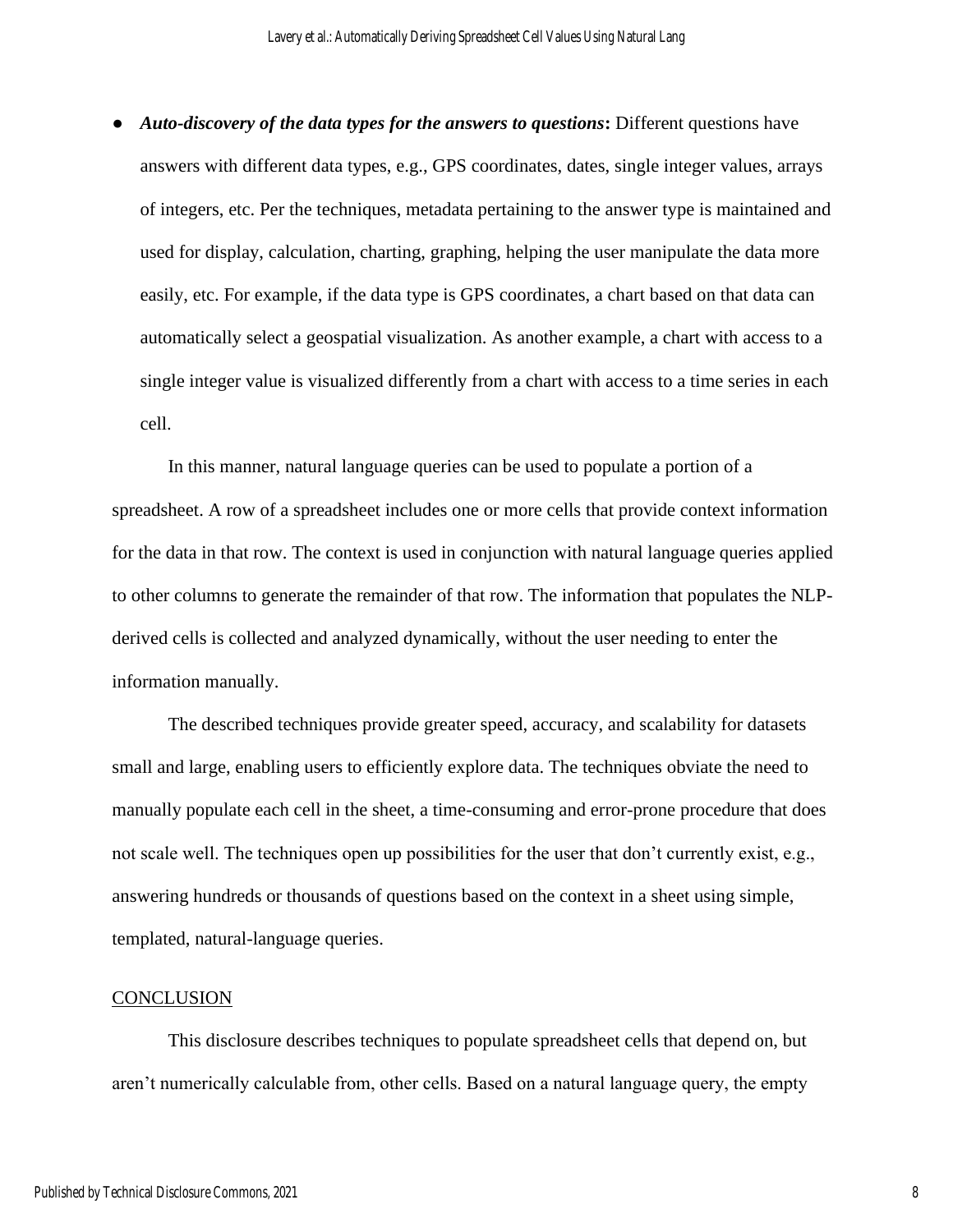● *Auto-discovery of the data types for the answers to questions***:** Different questions have answers with different data types, e.g., GPS coordinates, dates, single integer values, arrays of integers, etc. Per the techniques, metadata pertaining to the answer type is maintained and used for display, calculation, charting, graphing, helping the user manipulate the data more easily, etc. For example, if the data type is GPS coordinates, a chart based on that data can automatically select a geospatial visualization. As another example, a chart with access to a single integer value is visualized differently from a chart with access to a time series in each cell.

In this manner, natural language queries can be used to populate a portion of a spreadsheet. A row of a spreadsheet includes one or more cells that provide context information for the data in that row. The context is used in conjunction with natural language queries applied to other columns to generate the remainder of that row. The information that populates the NLPderived cells is collected and analyzed dynamically, without the user needing to enter the information manually.

The described techniques provide greater speed, accuracy, and scalability for datasets small and large, enabling users to efficiently explore data. The techniques obviate the need to manually populate each cell in the sheet, a time-consuming and error-prone procedure that does not scale well. The techniques open up possibilities for the user that don't currently exist, e.g., answering hundreds or thousands of questions based on the context in a sheet using simple, templated, natural-language queries.

#### **CONCLUSION**

This disclosure describes techniques to populate spreadsheet cells that depend on, but aren't numerically calculable from, other cells. Based on a natural language query, the empty